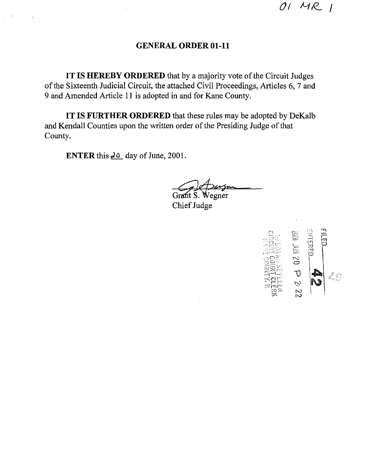# **GENERAL ORDER 01-11**

**IT IS HEREBY ORDERED** that by a majority vote of the Circuit Judges of the Sixteenth Judicial Circuit, the attached Civil Proceedings, Articles 6, 7 and 9 and Amended Article 11 is adopted in and for Kane County.

**IT IS FURTHER ORDERED** that these rules may be adopted by DeKalb and Kendall Counties upon the written order of the Presiding Judge of that County.

**ENTER** this  $\frac{\partial \phi}{\partial x}$  day of June, 2001.

Wegner

Chief Judge

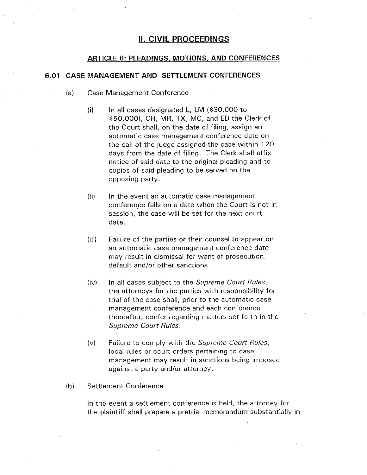## **II. CIVIL PROCEEDINGS**

## **ARTICLE 6: PLEADINGS, MOTIONS, AND CONFERENCES**

## **6.01 CASE MANAGEMENT AND SETTLEMENT CONFERENCES**

- (a) Case Management Conference
	- $(i)$  In all cases designated L, LM (\$30,000 to \$50,000), CH, MR, TX, MC, and ED the Clerk of the Court shall, on the date of filing, assign an automatic case management conference date on the call of the judge assigned the case within 1 20 days from the date of filing. The Clerk shall affix notice of said date to the original pleading and to copies of said pleading to be served on the opposing party.
	- (ii) In the event an automatic case management conference falls on a date when the Court is not in session, the case will be set for the next court date.
	- (iii) Failure of the parties or their counsel to appear on an automatic case management conference date may result in dismissal for want of prosecution, default and/or other sanctions.
	- (iv) In all cases subject to the *Supreme Court Rules,*  the attorneys for the parties with responsibility for trial of the case shall, prior to the automatic case management conference and each conference thereafter, confer regarding matters set forth in the *Supreme Court Rules.*
	- (v) Failure to comply with the *Supreme Court Rules,*  local rules or court orders pertaining to case management may result in sanctions being imposed against a party and/or attorney.
- (b) Settlement Conference

In the event a settlement conference is held, the attorney for the plaintiff shall prepare a pretrial memorandum substantially in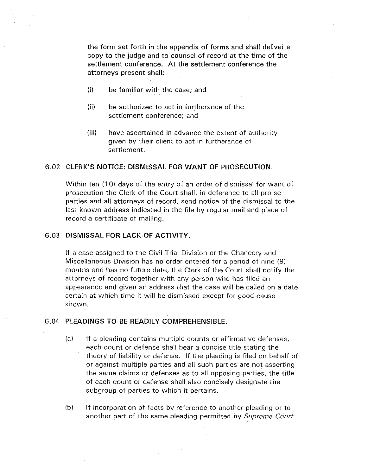the form set forth in the appendix of forms and shall deliver a copy to the judge and to counsel of record at the time of the settlement conference. At the settlement conference the attorneys present shall:

- (i) be familiar with the case; and
- (ii) be authorized to act in furtherance of the settlement conference; and
- (iii) have ascertained in advance the extent of authority given by their client to act in furtherance of settlement.

#### 6.02 CLERK'S NOTICE: DISMISSAL FOR WANT OF PROSECUTION.

Within ten ( 10) days of the entry of an order of dismissal for want of prosecution the Clerk of the Court shall, in deference to all pro se parties and all attorneys of record, send notice of the dismissal to the last known address indicated in the file by regular mail and place of record a certificate of mailing.

## 6.03 DISMISSAL FOR LACK OF ACTIVITY.

If a case assigned to the Civil Trial Division or the Chancery and Miscellaneous Division has no order entered for a period of nine (9) months and has no future date, the Clerk of the Court shall notify the attorneys of record together with any person who has filed an appearance and given an address that the case will be called on a date certain at which time it will be dismissed except for good cause shown.

#### 6.04 PLEADINGS TO BE READILY COMPREHENSIBLE.

- (a) If a pleading contains multiple counts or affirmative defenses, each count or defense shall bear a concise title stating the theory of liability or defense. If the pleading is filed on behalf of or against multiple parties and all such parties are not asserting the same claims or defenses as to all opposing parties, the title of each count or defense shall also concisely designate the subgroup of parties to which it pertains.
- (b) If incorporation of facts by reference to another pleading or to another part of the same pleading permitted by *Supreme Court*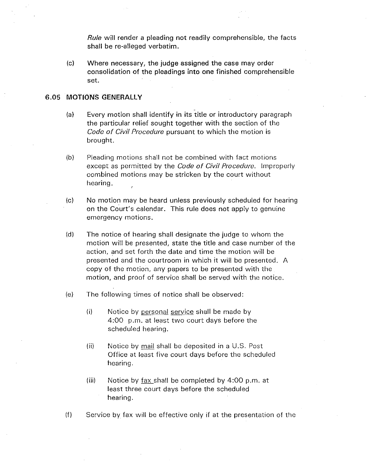*Rule* will render a pleading not readily comprehensible, the facts shall be re-alleged verbatim.

(c) Where necessary, the judge assigned the case may order consolidation of the pleadings into one finished comprehensible set.

#### 6.05 **MOTIONS GENERALLY**

- (a) Every motion shall identify in its title or introductory paragraph the particular relief sought together with the section of the *Code of Civil Procedure* pursuant to which the motion is brought.
- (b) Pleading motions shall not be combined with fact motions except as permitted by the *Code of Civil Procedure.* Improperly combined motions may be stricken by the court without hearing.
- (c) No motion may be heard unless previously scheduled for hearing on the Court's calendar. This rule does not apply to genuine emergency motions.
- (d) The notice of hearing shall designate the judge to whom the motion will be presented, state the title and case number of the action, and set forth the date and time the motion will be presented and the courtroom in which it will be presented. A copy of the motion, any papers to be presented with the motion, and proof of service shall be served with the notice.
- (e) The following times of notice shall be observed:
	- (i) Notice by personal service shall be made by 4:00 p.m. at least two court days before the scheduled hearing.
	- (ii) Notice by mail shall be deposited in a U.S. Post Office at least five court days before the scheduled hearing.
	- (iii) Notice by  $\frac{fax}{f}$  shall be completed by 4:00 p.m. at least three court days before the scheduled hearing.
- (f) Service by fax will be effective only if at the presentation of the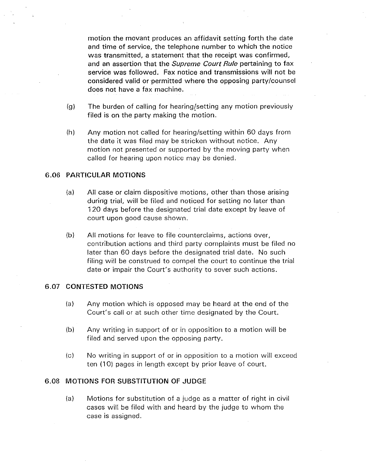motion the movant produces an affidavit setting forth the date and time of service, the telephone number to which the notice was transmitted, a statement that the receipt was confirmed, and an assertion that the *Supreme Court Rule* pertaining to fax service was followed. Fax notice and transmissions will not be considered valid or permitted where the opposing party/counsel does not have a fax machine.

- (g} The burden of calling for hearing{setting any motion previously filed is on the party making the motion.
- (h) Any motion not called for hearing/setting within 60 days from the date it was filed may be stricken without notice. Any motion not presented or supported by the moving party when called for hearing upon notice may be denied.

## 6.06 PARTICULAR MOTIONS

- (a) All case or claim dispositive motions, other than those arising during trial, will be filed and noticed for setting no later than 120 days before the designated trial date except by leave of court upon good cause shown.
- (b) All motions for leave to file counterclaims, actions over, contribution actions and third party complaints must be filed no later than 60 days before the designated trial date. No such filing will be construed to compel the court to continue the trial date or impair the Court's authority to sever such actions.

## 6.07 CONTESTED MOTIONS

- (a) Any motion which is opposed may be heard at the end of the Court's call or at such other time designated by the Court.
- (bl Any writing in support of or in opposition to a motion will be filed and served upon the opposing party.
- (c) No writing in support of or in opposition to a motion will exceed ten ( 10) pages in length except by prior leave of court.

## 6.08 MOTIONS FOR SUBSTITUTION OF JUDGE

(a) Motions for substitution of a judge as a matter of right in civil cases will be filed with and heard by the judge to whom the case is assigned.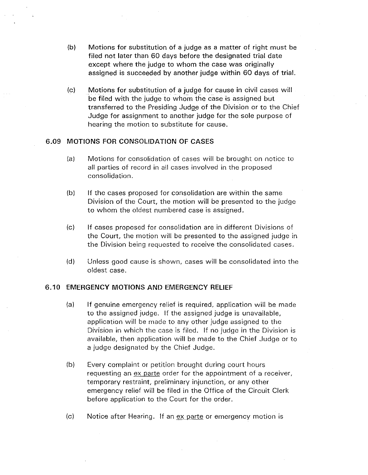- (b) Motions for substitution of a judge as a matter of right must be filed not later than 60 days before the designated trial date except where the judge to whom the case was originally assigned is succeeded by another judge within 60 days of trial.
- (c) Motions for substitution of a judge for cause in civil cases will be filed with the judge to whom the case is assigned but transferred to the Presiding Judge of the Division or to the Chief Judge for assignment to another judge for the sole purpose of hearing the motion to substitute for cause.

#### 6.09 MOTIONS FOR CONSOLIDATION OF CASES

- (a) Motions for consolidation of cases will be brought on notice to all parties of record in all cases involved in the proposed consolidation.
- (b) If the cases proposed for consolidation are within the same Division of the Court, the motion will be presented to the judge to whom the oldest numbered case is assigned.
- (c) If cases proposed for consolidation are in different Divisions of the Court, the motion will be presented to the assigned judge in the Division being requested to receive the consolidated cases.
- (d) Unless good cause is shown, cases will be consolidated into the oldest case.

## 6.10 EMERGENCY MOTIONS AND EMERGENCY RELIEF

- (a) If genuine emergency relief is required, application will be made to the assigned judge. If the assigned judge is unavailable, application will be made to any other judge assigned to the Division in which the case is filed. If no judge in the Division is available, then application will be made to the Chief Judge or to a judge designated by the Chief Judge.
- (b) Every complaint or petition brought during court hours requesting an ex parte order for the appointment of a receiver, temporary restraint, preliminary injunction, or any other emergency relief will be filed in the Office of the Circuit Clerk before application to the Court for the order.
- (c) Notice after Hearing. If an ex parte or emergency motion is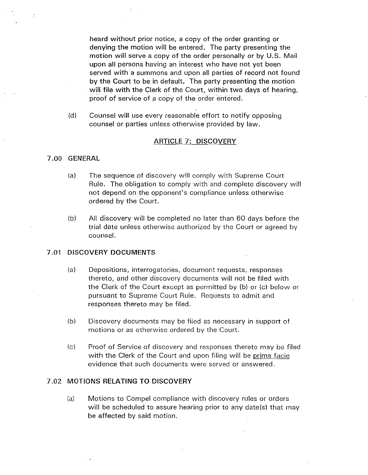heard without prior notice, a copy of the order granting or denying the motion will be entered. The party presenting the motion will serve a copy of the order personally or by U.S. Mail upon all persons having an interest who have not yet been served with a summons and upon all parties of record not found by the Court to be in default. The party presenting the motion will file with the Clerk of the Court, within two days of hearing, proof of service of a copy of the order entered.

(d) Counsel will use every reasonable effort to notify opposing counsel or parties unless otherwise provided by law.

#### ARTICLE 7: DISCOVERY

## 7 .00 GENERAL

- (a) The sequence of discovery will comply with Supreme Court Rule. The obligation to comply with and complete discovery will not depend on the opponent's compliance unless otherwise ordered by the Court.
- (b) All discovery will be completed no later than 60 days before the trial date unless otherwise authorized by the Court or agreed by counsel.

#### 7 .01 DISCOVERY DOCUMENTS

- (a) Depositions, interrogatories, document requests, responses thereto, and other discovery documents will not be filed with the Clerk of the Court except as permitted by (b) or (c) below or pursuant to Supreme Court Rule. Requests to admit and responses thereto may be filed.
- (bl Discovery documents may be filed as necessary in support of motions or as otherwise ordered by the Court.
- (cl Proof of Service of discovery and responses thereto may be filed with the Clerk of the Court and upon filing will be prima facie evidence that such documents were served or answered.

#### 7.02 MOTIONS RELATING TO DISCOVERY

(a) Motions to Compel compliance with discovery rules or orders will be scheduled to assure hearing prior to any date(s) that may be affected by said motion.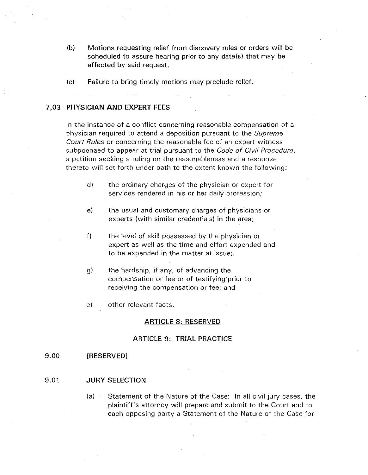- (b) Motions requesting relief from discovery rules or orders will be scheduled to assure hearing prior to any date(s) that may be affected by said request.
- (c) Failure to bring timely motions may preclude relief.

## 7 .03 PHYSICIAN AND EXPERT FEES

In the instance of a conflict concerning reasonable compensation of a physician required to attend a deposition pursuant to the *Supreme Court Rules* or concerning the reasonable fee of an expert witness subpoenaed to appear at trial pursuant to the *Code of Civil Procedure,*  a petition seeking a ruling on the reasonableness and a response thereto will set forth under oath to the extent known the following:

- d) the ordinary charges of the physician or expert for services rendered in his or her daily profession;
- e) the usual and customary charges of physicians or experts (with similar credentials) in the area;
- f) the level of skill possessed by the physician or expert as well as the time and effort expended and to be expended in the matter at issue;
- g) the hardship, if any, of advancing the compensation or fee or of testifying prior to receiving the compensation or fee; and
- e) other relevant facts.

#### ARTICLE 8: RESERVED

#### ARTICLE 9: TRIAL PRACTICE

#### 9.00 [RESERVED]

#### 9.01 JURY SELECTION

(a) Statement of the Nature of the Case: In all civil jury cases, the plaintiff's attorney will prepare and submit to the Court and to each opposing party a Statement of the Nature of the Case for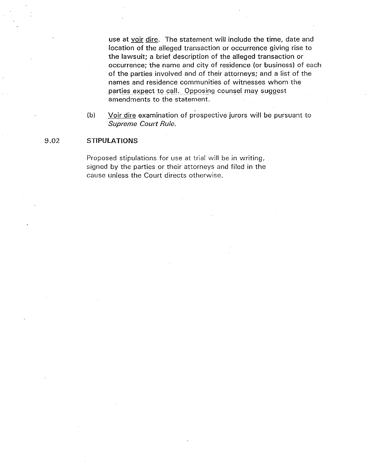use at voir dire. The statement will include the time, date and location of the alleged transaction or occurrence giving rise to the lawsuit; a brief description of the alleged transaction or occurrence; the name and city of residence {or business) of each of the parties involved and of their attorneys; and a list of the names and residence communities of witnesses whom the parties expect to call. Opposing counsel may suggest amendments to the statement.

{b) Voir dire examination of prospective jurors will be pursuant to *Supreme Court Rule.* 

## 9.02 **STIPULATIONS**

Proposed stipulations for use at trial will be in writing, signed by the parties or their attorneys and filed in the cause unless the Court directs otherwise.